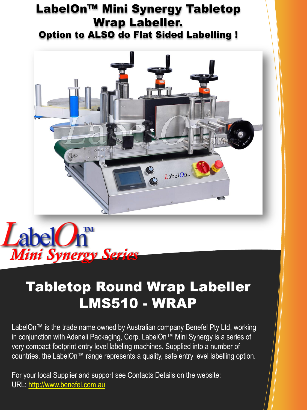### LabelOn™ Mini Synergy Tabletop Wrap Labeller. Option to ALSO do Flat Sided Labelling !





## Tabletop Round Wrap Labeller LMS510 - WRAP

LabelOn™ is the trade name owned by Australian company Benefel Pty Ltd, working in conjunction with Adeneli Packaging, Corp. LabelOn™ Mini Synergy is a series of very compact footprint entry level labeling machines. Supplied into a number of countries, the LabelOn™ range represents a quality, safe entry level labelling option.

For your local Supplier and support see Contacts Details on the website: URL: [http://www.benefel.com.au](http://benefel.com.au/)